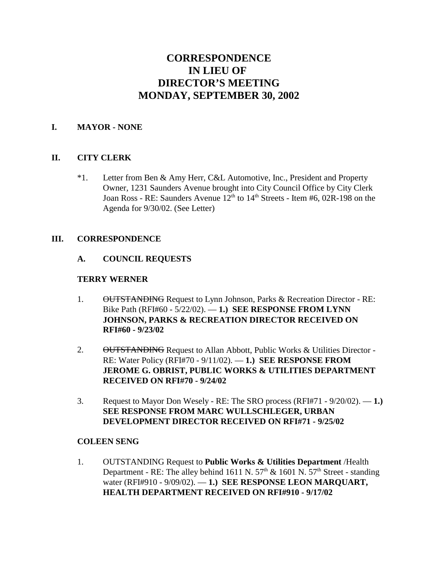# **CORRESPONDENCE IN LIEU OF DIRECTOR'S MEETING MONDAY, SEPTEMBER 30, 2002**

#### **I. MAYOR - NONE**

### **II. CITY CLERK**

\*1. Letter from Ben & Amy Herr, C&L Automotive, Inc., President and Property Owner, 1231 Saunders Avenue brought into City Council Office by City Clerk Joan Ross - RE: Saunders Avenue  $12<sup>th</sup>$  to  $14<sup>th</sup>$  Streets - Item #6, 02R-198 on the Agenda for 9/30/02. (See Letter)

#### **III. CORRESPONDENCE**

#### **A. COUNCIL REQUESTS**

#### **TERRY WERNER**

- 1. OUTSTANDING Request to Lynn Johnson, Parks & Recreation Director RE: Bike Path (RFI#60 - 5/22/02). — **1.) SEE RESPONSE FROM LYNN JOHNSON, PARKS & RECREATION DIRECTOR RECEIVED ON RFI#60 - 9/23/02**
- 2. OUTSTANDING Request to Allan Abbott, Public Works & Utilities Director -RE: Water Policy (RFI#70 - 9/11/02). — **1.) SEE RESPONSE FROM JEROME G. OBRIST, PUBLIC WORKS & UTILITIES DEPARTMENT RECEIVED ON RFI#70 - 9/24/02**
- 3. Request to Mayor Don Wesely RE: The SRO process (RFI#71 9/20/02). **1.) SEE RESPONSE FROM MARC WULLSCHLEGER, URBAN DEVELOPMENT DIRECTOR RECEIVED ON RFI#71 - 9/25/02**

#### **COLEEN SENG**

1. OUTSTANDING Request to **Public Works & Utilities Department** /Health Department - RE: The alley behind 1611 N.  $57<sup>th</sup>$  & 1601 N.  $57<sup>th</sup>$  Street - standing water (RFI#910 - 9/09/02). — **1.) SEE RESPONSE LEON MARQUART, HEALTH DEPARTMENT RECEIVED ON RFI#910 - 9/17/02**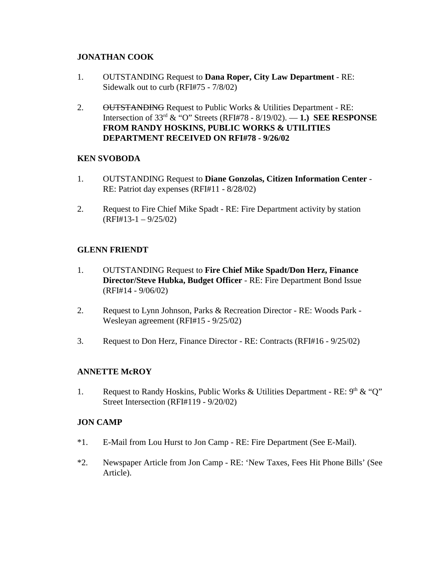## **JONATHAN COOK**

- 1. OUTSTANDING Request to **Dana Roper, City Law Department** RE: Sidewalk out to curb (RFI#75 - 7/8/02)
- 2. OUTSTANDING Request to Public Works & Utilities Department RE: Intersection of 33rd & "O" Streets (RFI#78 - 8/19/02). — **1.) SEE RESPONSE FROM RANDY HOSKINS, PUBLIC WORKS & UTILITIES DEPARTMENT RECEIVED ON RFI#78 - 9/26/02**

## **KEN SVOBODA**

- 1. OUTSTANDING Request to **Diane Gonzolas, Citizen Information Center** RE: Patriot day expenses (RFI#11 - 8/28/02)
- 2. Request to Fire Chief Mike Spadt RE: Fire Department activity by station  $(RF1#13-1 - 9/25/02)$

## **GLENN FRIENDT**

- 1. OUTSTANDING Request to **Fire Chief Mike Spadt/Don Herz, Finance Director/Steve Hubka, Budget Officer** - RE: Fire Department Bond Issue (RFI#14 - 9/06/02)
- 2. Request to Lynn Johnson, Parks & Recreation Director RE: Woods Park Wesleyan agreement (RFI#15 - 9/25/02)
- 3. Request to Don Herz, Finance Director RE: Contracts (RFI#16 9/25/02)

### **ANNETTE McROY**

1. Request to Randy Hoskins, Public Works & Utilities Department - RE:  $9<sup>th</sup>$  & "Q" Street Intersection (RFI#119 - 9/20/02)

### **JON CAMP**

- \*1. E-Mail from Lou Hurst to Jon Camp RE: Fire Department (See E-Mail).
- \*2. Newspaper Article from Jon Camp RE: 'New Taxes, Fees Hit Phone Bills' (See Article).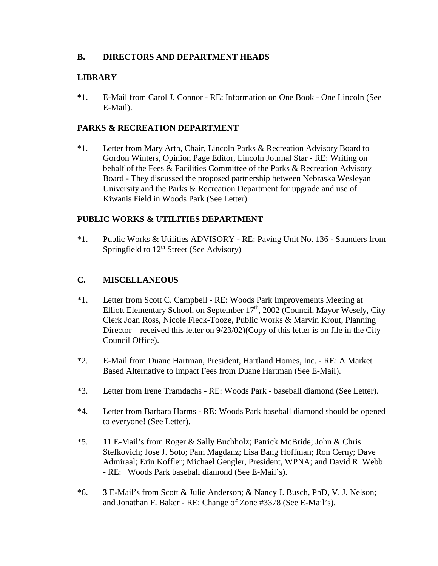## **B. DIRECTORS AND DEPARTMENT HEADS**

## **LIBRARY**

**\***1. E-Mail from Carol J. Connor - RE: Information on One Book - One Lincoln (See E-Mail).

## **PARKS & RECREATION DEPARTMENT**

\*1. Letter from Mary Arth, Chair, Lincoln Parks & Recreation Advisory Board to Gordon Winters, Opinion Page Editor, Lincoln Journal Star - RE: Writing on behalf of the Fees & Facilities Committee of the Parks & Recreation Advisory Board - They discussed the proposed partnership between Nebraska Wesleyan University and the Parks & Recreation Department for upgrade and use of Kiwanis Field in Woods Park (See Letter).

## **PUBLIC WORKS & UTILITIES DEPARTMENT**

\*1. Public Works & Utilities ADVISORY - RE: Paving Unit No. 136 - Saunders from Springfield to  $12<sup>th</sup>$  Street (See Advisory)

## **C. MISCELLANEOUS**

- \*1. Letter from Scott C. Campbell RE: Woods Park Improvements Meeting at Elliott Elementary School, on September 17<sup>th</sup>, 2002 (Council, Mayor Wesely, City Clerk Joan Ross, Nicole Fleck-Tooze, Public Works & Marvin Krout, Planning Director received this letter on  $9/23/02$ )(Copy of this letter is on file in the City Council Office).
- \*2. E-Mail from Duane Hartman, President, Hartland Homes, Inc. RE: A Market Based Alternative to Impact Fees from Duane Hartman (See E-Mail).
- \*3. Letter from Irene Tramdachs RE: Woods Park baseball diamond (See Letter).
- \*4. Letter from Barbara Harms RE: Woods Park baseball diamond should be opened to everyone! (See Letter).
- \*5. **11** E-Mail's from Roger & Sally Buchholz; Patrick McBride; John & Chris Stefkovich; Jose J. Soto; Pam Magdanz; Lisa Bang Hoffman; Ron Cerny; Dave Admiraal; Erin Koffler; Michael Gengler, President, WPNA; and David R. Webb - RE: Woods Park baseball diamond (See E-Mail's).
- \*6. **3** E-Mail's from Scott & Julie Anderson; & Nancy J. Busch, PhD, V. J. Nelson; and Jonathan F. Baker - RE: Change of Zone #3378 (See E-Mail's).